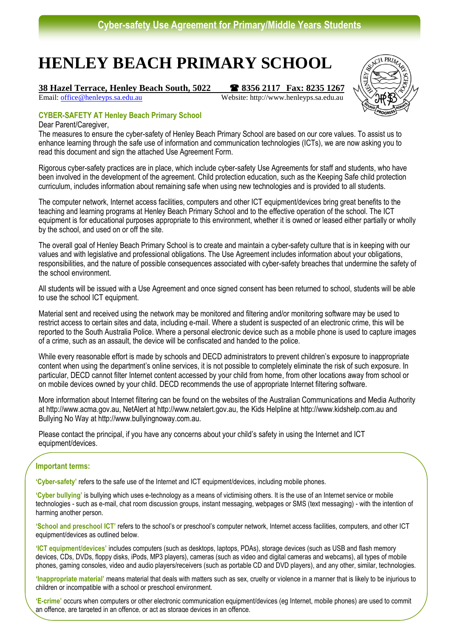# **HENLEY BEACH PRIMARY SCHOOL**

### **38 Hazel Terrace, Henley Beach South, 5022 8356 2117 Fax: 8235 1267**

Email: [office@henleyps.sa.edu.au](mailto:office@henleyps.sa.edu.au) Website: http://www.henleyps.sa.edu.au



## **CYBER-SAFETY AT Henley Beach Primary School**

#### Dear Parent/Caregiver,

The measures to ensure the cyber-safety of Henley Beach Primary School are based on our core values. To assist us to enhance learning through the safe use of information and communication technologies (ICTs), we are now asking you to read this document and sign the attached Use Agreement Form.

Rigorous cyber-safety practices are in place, which include cyber-safety Use Agreements for staff and students, who have been involved in the development of the agreement. Child protection education, such as the Keeping Safe child protection curriculum, includes information about remaining safe when using new technologies and is provided to all students.

The computer network, Internet access facilities, computers and other ICT equipment/devices bring great benefits to the teaching and learning programs at Henley Beach Primary School and to the effective operation of the school. The ICT equipment is for educational purposes appropriate to this environment, whether it is owned or leased either partially or wholly by the school, and used on or off the site.

The overall goal of Henley Beach Primary School is to create and maintain a cyber-safety culture that is in keeping with our values and with legislative and professional obligations. The Use Agreement includes information about your obligations, responsibilities, and the nature of possible consequences associated with cyber-safety breaches that undermine the safety of the school environment.

All students will be issued with a Use Agreement and once signed consent has been returned to school, students will be able to use the school ICT equipment.

Material sent and received using the network may be monitored and filtering and/or monitoring software may be used to restrict access to certain sites and data, including e-mail. Where a student is suspected of an electronic crime, this will be reported to the South Australia Police. Where a personal electronic device such as a mobile phone is used to capture images of a crime, such as an assault, the device will be confiscated and handed to the police.

While every reasonable effort is made by schools and DECD administrators to prevent children's exposure to inappropriate content when using the department's online services, it is not possible to completely eliminate the risk of such exposure. In particular, DECD cannot filter Internet content accessed by your child from home, from other locations away from school or on mobile devices owned by your child. DECD recommends the use of appropriate Internet filtering software.

More information about Internet filtering can be found on the websites of the Australian Communications and Media Authority at http://www.acma.gov.au, NetAlert at http://www.netalert.gov.au, the Kids Helpline at http://www.kidshelp.com.au and Bullying No Way at http://www.bullyingnoway.com.au.

Please contact the principal, if you have any concerns about your child's safety in using the Internet and ICT equipment/devices.

## **Important terms:**

**'Cyber-safety'** refers to the safe use of the Internet and ICT equipment/devices, including mobile phones.

**'Cyber bullying'** is bullying which uses e-technology as a means of victimising others. It is the use of an Internet service or mobile technologies - such as e-mail, chat room discussion groups, instant messaging, webpages or SMS (text messaging) - with the intention of harming another person.

**'School and preschool ICT'** refers to the school's or preschool's computer network, Internet access facilities, computers, and other ICT equipment/devices as outlined below.

**'ICT equipment/devices'** includes computers (such as desktops, laptops, PDAs), storage devices (such as USB and flash memory devices, CDs, DVDs, floppy disks, iPods, MP3 players), cameras (such as video and digital cameras and webcams), all types of mobile phones, gaming consoles, video and audio players/receivers (such as portable CD and DVD players), and any other, similar, technologies.

**'Inappropriate material'** means material that deals with matters such as sex, cruelty or violence in a manner that is likely to be injurious to children or incompatible with a school or preschool environment.

**'E-crime'** occurs when computers or other electronic communication equipment/devices (eg Internet, mobile phones) are used to commit an offence, are targeted in an offence, or act as storage devices in an offence.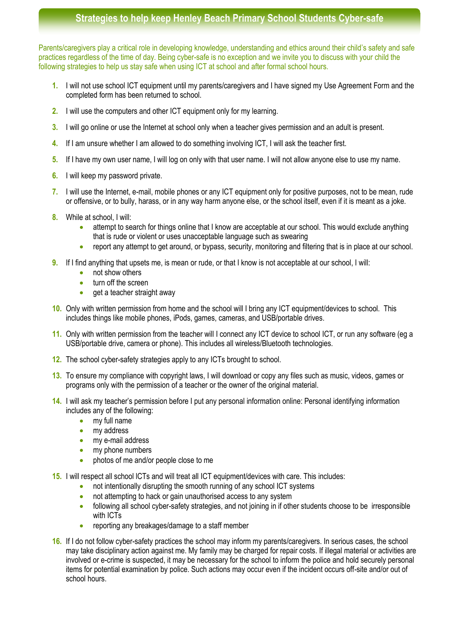# **Strategies to help keep Henley Beach Primary School Students Cyber-safe**

Parents/caregivers play a critical role in developing knowledge, understanding and ethics around their child's safety and safe practices regardless of the time of day. Being cyber-safe is no exception and we invite you to discuss with your child the following strategies to help us stay safe when using ICT at school and after formal school hours.

- **1.** I will not use school ICT equipment until my parents/caregivers and I have signed my Use Agreement Form and the completed form has been returned to school.
- **2.** I will use the computers and other ICT equipment only for my learning.
- **3.** I will go online or use the Internet at school only when a teacher gives permission and an adult is present.
- **4.** If I am unsure whether I am allowed to do something involving ICT, I will ask the teacher first.
- **5.** If I have my own user name, I will log on only with that user name. I will not allow anyone else to use my name.
- **6.** I will keep my password private.
- **7.** I will use the Internet, e-mail, mobile phones or any ICT equipment only for positive purposes, not to be mean, rude or offensive, or to bully, harass, or in any way harm anyone else, or the school itself, even if it is meant as a joke.
- **8.** While at school, I will:
	- attempt to search for things online that I know are acceptable at our school. This would exclude anything that is rude or violent or uses unacceptable language such as swearing
	- report any attempt to get around, or bypass, security, monitoring and filtering that is in place at our school.
- **9.** If I find anything that upsets me, is mean or rude, or that I know is not acceptable at our school, I will:
	- not show others
	- turn off the screen
	- get a teacher straight away
- **10.** Only with written permission from home and the school will I bring any ICT equipment/devices to school. This includes things like mobile phones, iPods, games, cameras, and USB/portable drives.
- **11.** Only with written permission from the teacher will I connect any ICT device to school ICT, or run any software (eg a USB/portable drive, camera or phone). This includes all wireless/Bluetooth technologies.
- **12.** The school cyber-safety strategies apply to any ICTs brought to school.
- **13.** To ensure my compliance with copyright laws, I will download or copy any files such as music, videos, games or programs only with the permission of a teacher or the owner of the original material.
- **14.** I will ask my teacher's permission before I put any personal information online: Personal identifying information includes any of the following:
	- my full name
	- my address
	- my e-mail address
	- my phone numbers
	- **•** photos of me and/or people close to me
- **15.** I will respect all school lCTs and will treat all ICT equipment/devices with care. This includes:
	- not intentionally disrupting the smooth running of any school ICT systems
		- not attempting to hack or gain unauthorised access to any system
		- following all school cyber-safety strategies, and not joining in if other students choose to be irresponsible with ICTs
		- reporting any breakages/damage to a staff member
- **16.** If I do not follow cyber-safety practices the school may inform my parents/caregivers. In serious cases, the school may take disciplinary action against me. My family may be charged for repair costs. If illegal material or activities are involved or e-crime is suspected, it may be necessary for the school to inform the police and hold securely personal items for potential examination by police. Such actions may occur even if the incident occurs off-site and/or out of school hours.